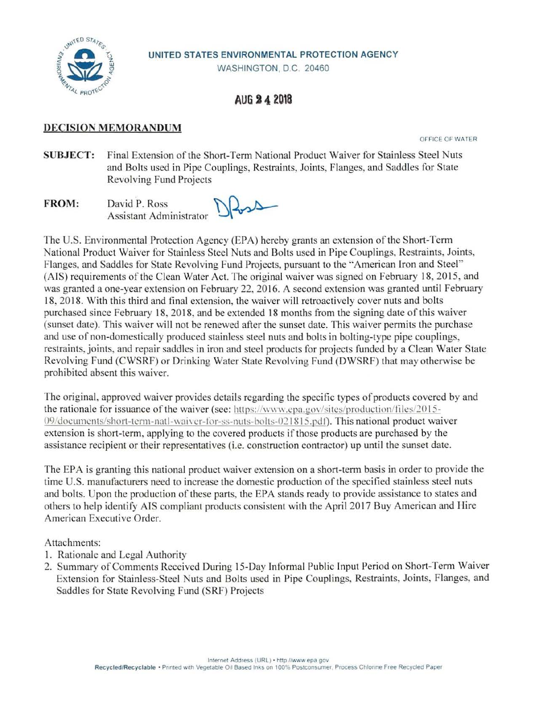

## **UNITED STATES ENVIRONMENTAL PROTECTION AGENCY**

WASHINGTON, D.C. 20460

## **AUG 14 20t8**

## **DECISION MEMORANDUM**

OfFICE OF WATER

**SUBJECT:** Final Extension of the Short-Term National Product Waiver for Stainless Steel Nuts and Bolts used in Pipe Couplings, Restraints, Joints, Flanges, and Saddles for State Revolving Fund Projects

**FROM:** David P. Ross Assistant Administrator  $\mathcal{D}_{\mathcal{A}}$ **U\~----**

The U.S. Environmental Protection Agency (EPA) hereby grants an extension ofthe Short-Term National Product Waiver for Stainless Steel Nuts and Bolts used in Pipe Couplings, Restraints, Joints, Flanges, and Saddles for State Revolving Fund Projects, pursuant to the "American Iron and Steel" (AIS) requirements of the Clean Water Act. The original waiver was signed on February 18, 2015, and was granted a one-year extension on February 22, 2016. A second extension was granted until February 18, 2018. With this third and final extension, the waiver will retroactively cover nuts and bolts purchased since February 18, 2018. and be extended 18 months from the signing date ofthis waiver (sunset date). This waiver will not be renewed after the sunset date. This waiver permits the purchase and use of non-domestically produced stainless steel nuts and bolts in bolting-type pipe couplings, restraints, joints, and repair saddles in iron and steel products for projects funded by a Clean Water State Revolving Fund (CWSRF) or Drinking Water State Revolving Fund (DWSRF) that may otherwise be prohibited absent this waiver.

The original, approved waiver provides details regarding the specific types of products covered by and the rationale for issuance of the waiver (see: https://www.epa.gov/sites/production/files/2015-09/documents/short-term-natl-waiver-for-ss-nuts-bolts-021815.pdf). This national product waiver extension is short-term, applying to the covered products if those products are purchased by the assistance recipient or their representatives (i.e. construction contractor) up until the sunset date.

The EPA is granting this national product waiver extension on a short-term basis in order to provide the time U.S. manufacturers need to increase the domestic production of the specified stainless steel nuts and bolts. Upon the production of these parts, the EPA stands ready to provide assistance to states and others to help identify AIS compliant products consistent with the April 2017 Buy American and Hire American Executive Order.

Attachments:

- I. Rationale and Legal Authority
- 2. Summary of Comments Received During 15-Day Informal Public Input Period on Short-Term Waiver Extension for Stainless-Steel Nuts and Bolts used in Pipe Couplings, Restraints, Joints, Flanges, and Saddles for State Revolving Fund (SRF) Projects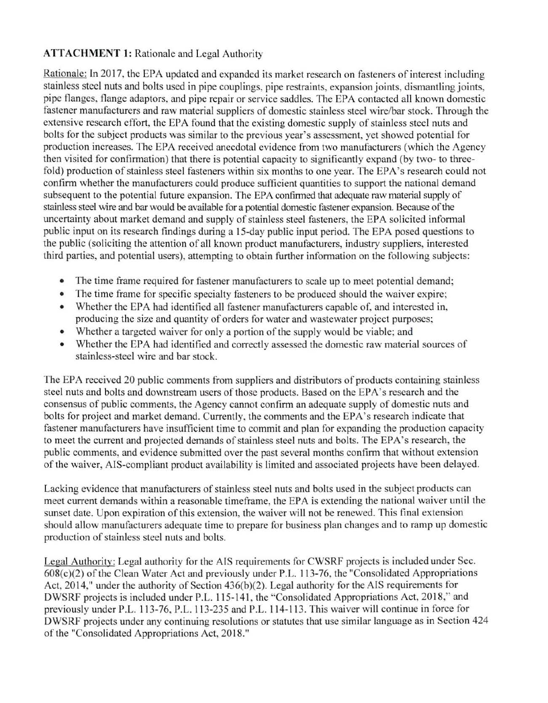## **ATTACHMENT 1:** Rationale and Legal Authority

Rationale: In 2017, the EPA updated and expanded its market research on fasteners of interest including stainless steel nuts and bolts used in pipe couplings, pipe restraints, expansion joints, dismantling joints, pipe flanges, flange adaptors, and pipe repair or service saddles. The EPA contacted all known domestic fastener manufacturers and raw material suppliers of domestic stainless steel wire/bar stock. Through the extensive research effort, the EPA found that the existing domestic supply of stainless steel nuts and bolts for the subject products was similar to the previous year's assessment, yet showed potential for production increases. The EPA received anecdotal evidence from two manufacturers (which the Agency then visited for confirmation) that there is potential capacity to significantly expand (by two- to threefold) production of stainless steel fasteners within six months to one year. The EPA's research could not confirm whether the manufacturers could produce sufficient quantities to support the national demand subsequent to the potential future expansion. The EPA confirmed that adequate raw material supply of stainless steel wire and bar would be available for a potential domestic fastener expansion. Because of the uncertainty about market demand and supply of stainless steel fasteners, the EPA solicited informal public input on its research findings during a 15-day public input period. The EPA posed questions to the public (soliciting the attention of all known product manufacturers, industry suppliers, interested third parties, and potential users), attempting to obtain further information on the following subjects:

- The time frame required for fastener manufacturers to scale up to meet potential demand;
- The time frame for specific specialty fasteners to be produced should the waiver expire;
- Whether the EPA had identified all fastener manufacturers capable of, and interested in, producing the size and quantity of orders for water and wastewater project purposes;
- Whether a targeted waiver for only a portion of the supply would be viable; and
- Whether the EPA had identified and correctly assessed the domestic raw material sources of stainless-steel wire and bar stock.

The EPA received 20 public comments from suppliers and distributors of products containing stainless steel nuts and bolts and downstream users of those products. Based on the EPA's research and the consensus of public comments, the Agency cannot confirm an adequate supply of domestic nuts and bolts for project and market demand. Currently, the comments and the EPA's research indicate that fastener manufacturers have insufficient time to commit and plan for expanding the production capacity to meet the current and projected demands of stainless steel nuts and bolts. The EPA's research, the public comments, and evidence submitted over the past several months confirm that without extension of the waiver, AIS-compliant product availability is limited and associated projects have been delayed.

Lacking evidence that manufacturers of stainless steel nuts and bolts used in the subject products can meet current demands within a reasonable timeframe, the EPA is extending the national waiver until the sunset date. Upon expiration of this extension, the waiver will not be renewed. This final extension should allow manufacturers adequate time to prepare for business plan changes and to ramp up domestic production of stainless steel nuts and bolts.

Legal Authority: Legal authority for the AIS requirements for CWSRF projects is included under Sec.  $608(c)(2)$  of the Clean Water Act and previously under P.L. 113-76, the "Consolidated Appropriations" Act, 2014," under the authority of Section 436(b)(2). Legal authority for the AIS requirements for DWSRF projects is included under P.L. 115-141, the "Consolidated Appropriations Act, 2018," and previously under P.L. 113-76, P.L. 113-235 and P.L. 114-113. This waiver will continue in force for DWSRF projects under any continuing resolutions or statutes that use similar language as in Section 424 of the "Consolidated Appropriations Act, 2018."